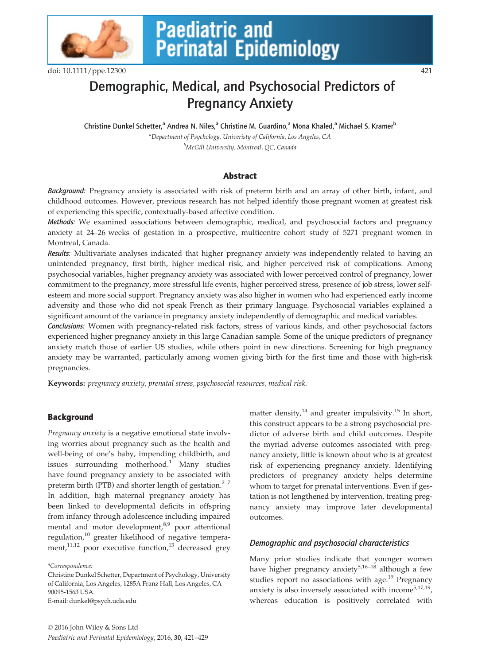

# **Paediatric and<br>Perinatal Epidemiology**

doi: 10.1111/ppe.12300 421

# Demographic, Medical, and Psychosocial Predictors of Pregnancy Anxiety

Christine Dunkel Schetter,<sup>a</sup> Andrea N. Niles,<sup>a</sup> Christine M. Guardino,<sup>a</sup> Mona Khaled,<sup>a</sup> Michael S. Kramer<sup>b</sup> <sup>a</sup>Department of Psychology, Univeristy of California, Los Angeles, CA <sup>b</sup>McGill University, Montreal, QC, Canada

# Abstract

Background: Pregnancy anxiety is associated with risk of preterm birth and an array of other birth, infant, and childhood outcomes. However, previous research has not helped identify those pregnant women at greatest risk of experiencing this specific, contextually-based affective condition.

Methods: We examined associations between demographic, medical, and psychosocial factors and pregnancy anxiety at 24–26 weeks of gestation in a prospective, multicentre cohort study of 5271 pregnant women in Montreal, Canada.

Results: Multivariate analyses indicated that higher pregnancy anxiety was independently related to having an unintended pregnancy, first birth, higher medical risk, and higher perceived risk of complications. Among psychosocial variables, higher pregnancy anxiety was associated with lower perceived control of pregnancy, lower commitment to the pregnancy, more stressful life events, higher perceived stress, presence of job stress, lower selfesteem and more social support. Pregnancy anxiety was also higher in women who had experienced early income adversity and those who did not speak French as their primary language. Psychosocial variables explained a significant amount of the variance in pregnancy anxiety independently of demographic and medical variables.

Conclusions: Women with pregnancy-related risk factors, stress of various kinds, and other psychosocial factors experienced higher pregnancy anxiety in this large Canadian sample. Some of the unique predictors of pregnancy anxiety match those of earlier US studies, while others point in new directions. Screening for high pregnancy anxiety may be warranted, particularly among women giving birth for the first time and those with high-risk pregnancies.

Keywords: pregnancy anxiety, prenatal stress, psychosocial resources, medical risk.

# **Background**

Pregnancy anxiety is a negative emotional state involving worries about pregnancy such as the health and well-being of one's baby, impending childbirth, and issues surrounding motherhood.<sup>1</sup> Many studies have found pregnancy anxiety to be associated with preterm birth (PTB) and shorter length of gestation. $2\frac{2}{7}$ In addition, high maternal pregnancy anxiety has been linked to developmental deficits in offspring from infancy through adolescence including impaired mental and motor development,<sup>8,9</sup> poor attentional regulation,<sup>10</sup> greater likelihood of negative temperament, $11,12$  poor executive function, $13$  decreased grey

\*Correspondence:

Christine Dunkel Schetter, Department of Psychology, University of California, Los Angeles, 1285A Franz Hall, Los Angeles, CA 90095-1563 USA. E-mail: dunkel@psych.ucla.edu

matter density, $^{14}$  and greater impulsivity.<sup>15</sup> In short, this construct appears to be a strong psychosocial predictor of adverse birth and child outcomes. Despite the myriad adverse outcomes associated with pregnancy anxiety, little is known about who is at greatest risk of experiencing pregnancy anxiety. Identifying predictors of pregnancy anxiety helps determine whom to target for prenatal interventions. Even if gestation is not lengthened by intervention, treating pregnancy anxiety may improve later developmental outcomes.

# Demographic and psychosocial characteristics

Many prior studies indicate that younger women have higher pregnancy anxiety<sup>5,16-18</sup> although a few studies report no associations with age.<sup>19</sup> Pregnancy anxiety is also inversely associated with income  $5,17,19$ , whereas education is positively correlated with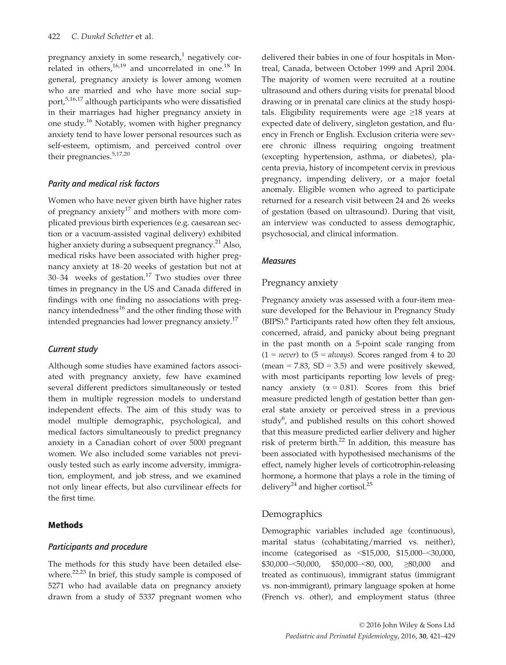pregnancy anxiety in some research, $<sup>1</sup>$  negatively cor-</sup> related in others, $16,19$  and uncorrelated in one.<sup>18</sup> In general, pregnancy anxiety is lower among women who are married and who have more social support,5,16,17 although participants who were dissatisfied in their marriages had higher pregnancy anxiety in one study.<sup>16</sup> Notably, women with higher pregnancy anxiety tend to have lower personal resources such as self-esteem, optimism, and perceived control over their pregnancies.5,17,20

#### Parity and medical risk factors

Women who have never given birth have higher rates of pregnancy anxiety<sup>17</sup> and mothers with more complicated previous birth experiences (e.g. caesarean section or a vacuum-assisted vaginal delivery) exhibited higher anxiety during a subsequent pregnancy.<sup>21</sup> Also, medical risks have been associated with higher pregnancy anxiety at 18–20 weeks of gestation but not at 30–34 weeks of gestation.<sup>17</sup> Two studies over three times in pregnancy in the US and Canada differed in findings with one finding no associations with pregnancy intendedness $^{16}$  and the other finding those with intended pregnancies had lower pregnancy anxiety.<sup>17</sup>

#### Current study

Although some studies have examined factors associated with pregnancy anxiety, few have examined several different predictors simultaneously or tested them in multiple regression models to understand independent effects. The aim of this study was to model multiple demographic, psychological, and medical factors simultaneously to predict pregnancy anxiety in a Canadian cohort of over 5000 pregnant women. We also included some variables not previously tested such as early income adversity, immigration, employment, and job stress, and we examined not only linear effects, but also curvilinear effects for the first time.

#### Methods

#### Participants and procedure

The methods for this study have been detailed elsewhere.<sup>22,23</sup> In brief, this study sample is composed of 5271 who had available data on pregnancy anxiety drawn from a study of 5337 pregnant women who delivered their babies in one of four hospitals in Montreal, Canada, between October 1999 and April 2004. The majority of women were recruited at a routine ultrasound and others during visits for prenatal blood drawing or in prenatal care clinics at the study hospitals. Eligibility requirements were age  $\geq 18$  years at expected date of delivery, singleton gestation, and fluency in French or English. Exclusion criteria were severe chronic illness requiring ongoing treatment (excepting hypertension, asthma, or diabetes), placenta previa, history of incompetent cervix in previous pregnancy, impending delivery, or a major foetal anomaly. Eligible women who agreed to participate returned for a research visit between 24 and 26 weeks of gestation (based on ultrasound). During that visit, an interview was conducted to assess demographic, psychosocial, and clinical information.

#### Measures

#### Pregnancy anxiety

Pregnancy anxiety was assessed with a four-item measure developed for the Behaviour in Pregnancy Study (BIPS).<sup>6</sup> Participants rated how often they felt anxious, concerned, afraid, and panicky about being pregnant in the past month on a 5-point scale ranging from  $(1 = never)$  to  $(5 = always)$ . Scores ranged from 4 to 20 (mean =  $7.83$ , SD =  $3.5$ ) and were positively skewed, with most participants reporting low levels of pregnancy anxiety ( $\alpha = 0.81$ ). Scores from this brief measure predicted length of gestation better than general state anxiety or perceived stress in a previous study<sup>6</sup>, and published results on this cohort showed that this measure predicted earlier delivery and higher risk of preterm birth.<sup>22</sup> In addition, this measure has been associated with hypothesised mechanisms of the effect, namely higher levels of corticotrophin-releasing hormone, a hormone that plays a role in the timing of delivery<sup>24</sup> and higher cortisol.<sup>25</sup>

#### Demographics

Demographic variables included age (continuous), marital status (cohabitating/married vs. neither), income (categorised as <\$15,000, \$15,000–<30,000, \$30,000–<50,000, \$50,000–<80, 000, ≥80,000 and treated as continuous), immigrant status (immigrant vs. non-immigrant), primary language spoken at home (French vs. other), and employment status (three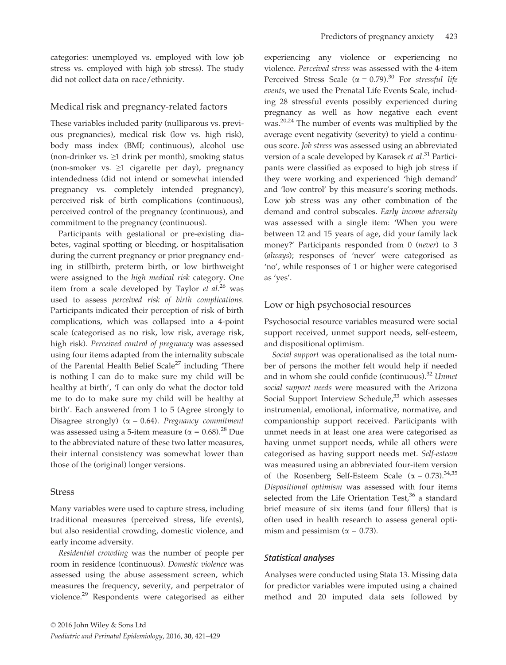categories: unemployed vs. employed with low job stress vs. employed with high job stress). The study did not collect data on race/ethnicity.

# Medical risk and pregnancy-related factors

These variables included parity (nulliparous vs. previous pregnancies), medical risk (low vs. high risk), body mass index (BMI; continuous), alcohol use (non-drinker vs.  $\geq 1$  drink per month), smoking status (non-smoker vs.  $\geq 1$  cigarette per day), pregnancy intendedness (did not intend or somewhat intended pregnancy vs. completely intended pregnancy), perceived risk of birth complications (continuous), perceived control of the pregnancy (continuous), and commitment to the pregnancy (continuous).

Participants with gestational or pre-existing diabetes, vaginal spotting or bleeding, or hospitalisation during the current pregnancy or prior pregnancy ending in stillbirth, preterm birth, or low birthweight were assigned to the high medical risk category. One item from a scale developed by Taylor  $et al.<sup>26</sup>$  was used to assess perceived risk of birth complications. Participants indicated their perception of risk of birth complications, which was collapsed into a 4-point scale (categorised as no risk, low risk, average risk, high risk). Perceived control of pregnancy was assessed using four items adapted from the internality subscale of the Parental Health Belief Scale<sup>27</sup> including 'There is nothing I can do to make sure my child will be healthy at birth', 'I can only do what the doctor told me to do to make sure my child will be healthy at birth'. Each answered from 1 to 5 (Agree strongly to Disagree strongly) ( $\alpha = 0.64$ ). Pregnancy commitment was assessed using a 5-item measure ( $\alpha = 0.68$ ).<sup>28</sup> Due to the abbreviated nature of these two latter measures, their internal consistency was somewhat lower than those of the (original) longer versions.

#### Stress

Many variables were used to capture stress, including traditional measures (perceived stress, life events), but also residential crowding, domestic violence, and early income adversity.

Residential crowding was the number of people per room in residence (continuous). Domestic violence was assessed using the abuse assessment screen, which measures the frequency, severity, and perpetrator of violence.29 Respondents were categorised as either experiencing any violence or experiencing no violence. Perceived stress was assessed with the 4-item Perceived Stress Scale ( $\alpha = 0.79$ ).<sup>30</sup> For stressful life events, we used the Prenatal Life Events Scale, including 28 stressful events possibly experienced during pregnancy as well as how negative each event was.20,24 The number of events was multiplied by the average event negativity (severity) to yield a continuous score. Job stress was assessed using an abbreviated version of a scale developed by Karasek et al.<sup>31</sup> Participants were classified as exposed to high job stress if they were working and experienced 'high demand' and 'low control' by this measure's scoring methods. Low job stress was any other combination of the demand and control subscales. Early income adversity was assessed with a single item: 'When you were between 12 and 15 years of age, did your family lack money?' Participants responded from 0 (never) to 3 (always); responses of 'never' were categorised as 'no', while responses of 1 or higher were categorised as 'yes'.

# Low or high psychosocial resources

Psychosocial resource variables measured were social support received, unmet support needs, self-esteem, and dispositional optimism.

Social support was operationalised as the total number of persons the mother felt would help if needed and in whom she could confide (continuous).<sup>32</sup> Unmet social support needs were measured with the Arizona Social Support Interview Schedule, $33$  which assesses instrumental, emotional, informative, normative, and companionship support received. Participants with unmet needs in at least one area were categorised as having unmet support needs, while all others were categorised as having support needs met. Self-esteem was measured using an abbreviated four-item version of the Rosenberg Self-Esteem Scale ( $\alpha = 0.73$ ).<sup>34,35</sup> Dispositional optimism was assessed with four items selected from the Life Orientation Test, $36$  a standard brief measure of six items (and four fillers) that is often used in health research to assess general optimism and pessimism ( $\alpha$  = 0.73).

# Statistical analyses

Analyses were conducted using Stata 13. Missing data for predictor variables were imputed using a chained method and 20 imputed data sets followed by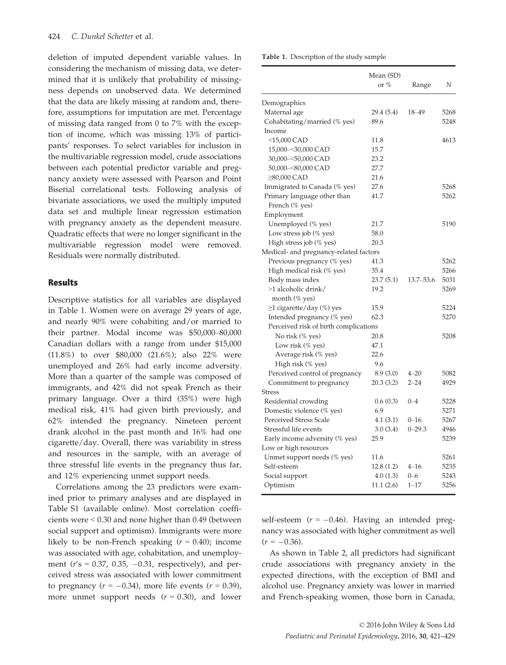deletion of imputed dependent variable values. In considering the mechanism of missing data, we determined that it is unlikely that probability of missingness depends on unobserved data. We determined that the data are likely missing at random and, therefore, assumptions for imputation are met. Percentage of missing data ranged from 0 to 7% with the exception of income, which was missing 13% of participants' responses. To select variables for inclusion in the multivariable regression model, crude associations between each potential predictor variable and pregnancy anxiety were assessed with Pearson and Point Biserial correlational tests. Following analysis of bivariate associations, we used the multiply imputed data set and multiple linear regression estimation with pregnancy anxiety as the dependent measure. Quadratic effects that were no longer significant in the multivariable regression model were removed. Residuals were normally distributed.

#### Results

Descriptive statistics for all variables are displayed in Table 1. Women were on average 29 years of age, and nearly 90% were cohabiting and/or married to their partner. Modal income was \$50,000–80,000 Canadian dollars with a range from under \$15,000 (11.8%) to over \$80,000 (21.6%); also 22% were unemployed and 26% had early income adversity. More than a quarter of the sample was composed of immigrants, and 42% did not speak French as their primary language. Over a third (35%) were high medical risk, 41% had given birth previously, and 62% intended the pregnancy. Nineteen percent drank alcohol in the past month and 16% had one cigarette/day. Overall, there was variability in stress and resources in the sample, with an average of three stressful life events in the pregnancy thus far, and 12% experiencing unmet support needs.

Correlations among the 23 predictors were examined prior to primary analyses and are displayed in Table S1 (available online). Most correlation coefficients were < 0.30 and none higher than 0.49 (between social support and optimism). Immigrants were more likely to be non-French speaking  $(r = 0.40)$ ; income was associated with age, cohabitation, and unemployment ( $r's = 0.37$ , 0.35, -0.31, respectively), and perceived stress was associated with lower commitment to pregnancy ( $r = -0.34$ ), more life events ( $r = 0.39$ ), more unmet support needs  $(r = 0.30)$ , and lower Table 1. Description of the study sample

|                                        | Mean (SD)  |               |      |  |
|----------------------------------------|------------|---------------|------|--|
|                                        | or $%$     | Range         | Ν    |  |
| Demographics                           |            |               |      |  |
| Maternal age                           | 29.4 (5.4) | 18-49         | 5268 |  |
| Cohabitating/married (% yes)           | 89.6       |               | 5248 |  |
| Income                                 |            |               |      |  |
| <15,000 CAD                            | 11.8       |               | 4613 |  |
| 15,000-<30,000 CAD                     | 15.7       |               |      |  |
| 30,000-<50,000 CAD                     | 23.2       |               |      |  |
| 50,000-<80,000 CAD                     | 27.7       |               |      |  |
| ≥80,000 CAD                            | 21.6       |               |      |  |
| Immigrated to Canada (% yes)           | 27.6       |               | 5268 |  |
| Primary language other than            | 41.7       |               | 5262 |  |
| French (% yes)                         |            |               |      |  |
| Employment                             |            |               |      |  |
| Unemployed (% yes)                     | 21.7       |               | 5190 |  |
| Low stress job (% yes)                 | 58.0       |               |      |  |
| High stress job (% yes)                | 20.3       |               |      |  |
| Medical- and pregnancy-related factors |            |               |      |  |
| Previous pregnancy (% yes)             | 41.3       |               | 5262 |  |
| High medical risk (% yes)              | 35.4       |               | 5266 |  |
| Body mass index                        | 23.7(5.1)  | $13.7 - 53.6$ | 5031 |  |
| >1 alcoholic drink/                    | 19.2       |               | 5269 |  |
| month $(\%$ yes)                       |            |               |      |  |
| ≥1 cigarette/day (%) yes               | 15.9       |               | 5224 |  |
| Intended pregnancy (% yes)             | 62.3       |               | 5270 |  |
| Perceived risk of birth complications  |            |               |      |  |
| No risk (% yes)                        | 20.8       |               | 5208 |  |
| Low risk (% yes)                       | 47.1       |               |      |  |
| Average risk (% yes)                   | 22.6       |               |      |  |
| High risk (% yes)                      | 9.6        |               |      |  |
| Perceived control of pregnancy         | 8.9(3.0)   | $4 - 20$      | 5082 |  |
| Commitment to pregnancy                | 20.3(3.2)  | $2 - 24$      | 4929 |  |
| <b>Stress</b>                          |            |               |      |  |
| Residential crowding                   | 0.6(0.3)   | $0 - 4$       | 5228 |  |
| Domestic violence (% yes)              | 6.9        |               | 5271 |  |
| <b>Perceived Stress Scale</b>          | 4.1(3.1)   | $0 - 16$      | 5267 |  |
| Stressful life events                  | 3.0(3.4)   | $0 - 29.3$    | 4946 |  |
| Early income adversity (% yes)         | 25.9       |               | 5239 |  |
| Low or high resources                  |            |               |      |  |
| Unmet support needs (% yes)            | 11.6       |               | 5261 |  |
| Self-esteem                            | 12.8(1.2)  | $4 - 16$      | 5235 |  |
| Social support                         | 4.0(1.3)   | $0 - 6$       | 5243 |  |
| Optimism                               | 11.1(2.6)  | $1 - 17$      | 5256 |  |

self-esteem  $(r = -0.46)$ . Having an intended pregnancy was associated with higher commitment as well  $(r = -0.36)$ .

As shown in Table 2, all predictors had significant crude associations with pregnancy anxiety in the expected directions, with the exception of BMI and alcohol use. Pregnancy anxiety was lower in married and French-speaking women, those born in Canada,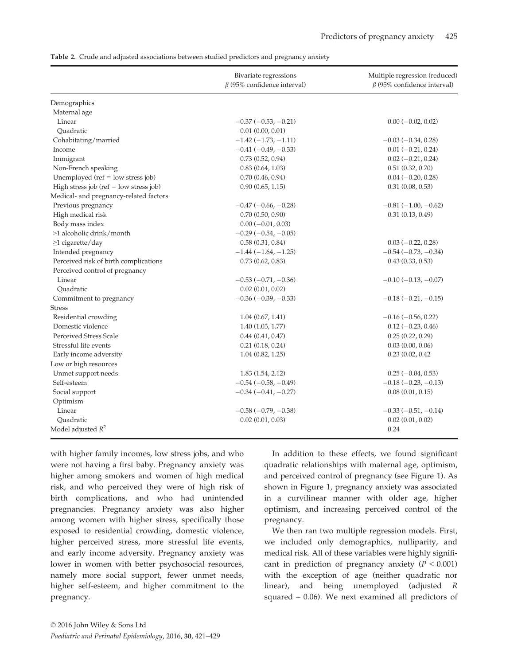|  | Table 2. Crude and adjusted associations between studied predictors and pregnancy anxiety |  |  |  |  |
|--|-------------------------------------------------------------------------------------------|--|--|--|--|
|--|-------------------------------------------------------------------------------------------|--|--|--|--|

|                                        | Bivariate regressions<br>$\beta$ (95% confidence interval) | Multiple regression (reduced)<br>$\beta$ (95% confidence interval) |
|----------------------------------------|------------------------------------------------------------|--------------------------------------------------------------------|
| Demographics                           |                                                            |                                                                    |
| Maternal age                           |                                                            |                                                                    |
| Linear                                 | $-0.37(-0.53,-0.21)$                                       | $0.00 (-0.02, 0.02)$                                               |
| Ouadratic                              | $0.01$ $(0.00, 0.01)$                                      |                                                                    |
| Cohabitating/married                   | $-1.42$ ( $-1.73$ , $-1.11$ )                              | $-0.03(-0.34, 0.28)$                                               |
| Income                                 | $-0.41$ ( $-0.49$ , $-0.33$ )                              | $0.01 (-0.21, 0.24)$                                               |
| Immigrant                              | 0.73(0.52, 0.94)                                           | $0.02 (-0.21, 0.24)$                                               |
| Non-French speaking                    | 0.83(0.64, 1.03)                                           | $0.51$ $(0.32, 0.70)$                                              |
| Unemployed ( $ref = low stress job$ )  | 0.70(0.46, 0.94)                                           | $0.04 (-0.20, 0.28)$                                               |
| High stress job (ref = low stress job) | 0.90(0.65, 1.15)                                           | 0.31(0.08, 0.53)                                                   |
| Medical- and pregnancy-related factors |                                                            |                                                                    |
| Previous pregnancy                     | $-0.47$ ( $-0.66$ , $-0.28$ )                              | $-0.81(-1.00, -0.62)$                                              |
| High medical risk                      | 0.70(0.50, 0.90)                                           | 0.31(0.13, 0.49)                                                   |
| Body mass index                        | $0.00 (-0.01, 0.03)$                                       |                                                                    |
| >1 alcoholic drink/month               | $-0.29(-0.54,-0.05)$                                       |                                                                    |
| ≥1 cigarette/day                       | 0.58(0.31, 0.84)                                           | $0.03 (-0.22, 0.28)$                                               |
| Intended pregnancy                     | $-1.44(-1.64,-1.25)$                                       | $-0.54(-0.73,-0.34)$                                               |
| Perceived risk of birth complications  | 0.73(0.62, 0.83)                                           | 0.43(0.33, 0.53)                                                   |
| Perceived control of pregnancy         |                                                            |                                                                    |
| Linear                                 | $-0.53$ ( $-0.71$ , $-0.36$ )                              | $-0.10$ ( $-0.13$ , $-0.07$ )                                      |
| Ouadratic                              | $0.02$ $(0.01, 0.02)$                                      |                                                                    |
| Commitment to pregnancy                | $-0.36$ ( $-0.39$ , $-0.33$ )                              | $-0.18$ ( $-0.21$ , $-0.15$ )                                      |
| Stress                                 |                                                            |                                                                    |
| Residential crowding                   | 1.04(0.67, 1.41)                                           | $-0.16$ ( $-0.56$ , 0.22)                                          |
| Domestic violence                      | 1.40(1.03, 1.77)                                           | $0.12 (-0.23, 0.46)$                                               |
| Perceived Stress Scale                 | $0.44$ $(0.41, 0.47)$                                      | 0.25(0.22, 0.29)                                                   |
| Stressful life events                  | 0.21(0.18, 0.24)                                           | 0.03(0.00, 0.06)                                                   |
| Early income adversity                 | 1.04(0.82, 1.25)                                           | 0.23(0.02, 0.42)                                                   |
| Low or high resources                  |                                                            |                                                                    |
| Unmet support needs                    | 1.83(1.54, 2.12)                                           | $0.25(-0.04, 0.53)$                                                |
| Self-esteem                            | $-0.54(-0.58,-0.49)$                                       | $-0.18$ ( $-0.23$ , $-0.13$ )                                      |
| Social support                         | $-0.34$ ( $-0.41$ , $-0.27$ )                              | 0.08(0.01, 0.15)                                                   |
| Optimism                               |                                                            |                                                                    |
| Linear                                 | $-0.58$ ( $-0.79$ , $-0.38$ )                              | $-0.33(-0.51,-0.14)$                                               |
| Ouadratic                              | 0.02(0.01, 0.03)                                           | 0.02(0.01, 0.02)                                                   |
| Model adjusted $R^2$                   |                                                            | 0.24                                                               |

with higher family incomes, low stress jobs, and who were not having a first baby. Pregnancy anxiety was higher among smokers and women of high medical risk, and who perceived they were of high risk of birth complications, and who had unintended pregnancies. Pregnancy anxiety was also higher among women with higher stress, specifically those exposed to residential crowding, domestic violence, higher perceived stress, more stressful life events, and early income adversity. Pregnancy anxiety was lower in women with better psychosocial resources, namely more social support, fewer unmet needs, higher self-esteem, and higher commitment to the pregnancy.

In addition to these effects, we found significant quadratic relationships with maternal age, optimism, and perceived control of pregnancy (see Figure 1). As shown in Figure 1, pregnancy anxiety was associated in a curvilinear manner with older age, higher optimism, and increasing perceived control of the pregnancy.

We then ran two multiple regression models. First, we included only demographics, nulliparity, and medical risk. All of these variables were highly significant in prediction of pregnancy anxiety ( $P < 0.001$ ) with the exception of age (neither quadratic nor linear), and being unemployed (adjusted R squared  $= 0.06$ ). We next examined all predictors of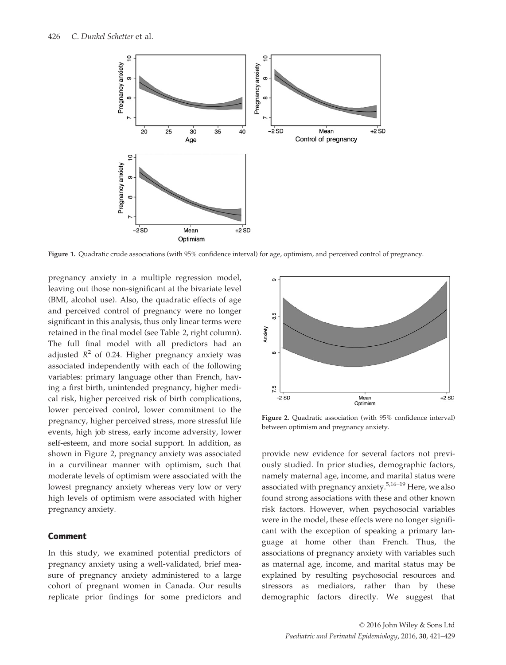

Figure 1. Quadratic crude associations (with 95% confidence interval) for age, optimism, and perceived control of pregnancy.

pregnancy anxiety in a multiple regression model, leaving out those non-significant at the bivariate level (BMI, alcohol use). Also, the quadratic effects of age and perceived control of pregnancy were no longer significant in this analysis, thus only linear terms were retained in the final model (see Table 2, right column). The full final model with all predictors had an adjusted  $R^2$  of 0.24. Higher pregnancy anxiety was associated independently with each of the following variables: primary language other than French, having a first birth, unintended pregnancy, higher medical risk, higher perceived risk of birth complications, lower perceived control, lower commitment to the pregnancy, higher perceived stress, more stressful life events, high job stress, early income adversity, lower self-esteem, and more social support. In addition, as shown in Figure 2, pregnancy anxiety was associated in a curvilinear manner with optimism, such that moderate levels of optimism were associated with the lowest pregnancy anxiety whereas very low or very high levels of optimism were associated with higher pregnancy anxiety.

#### Comment

In this study, we examined potential predictors of pregnancy anxiety using a well-validated, brief measure of pregnancy anxiety administered to a large cohort of pregnant women in Canada. Our results replicate prior findings for some predictors and



Figure 2. Quadratic association (with 95% confidence interval) between optimism and pregnancy anxiety.

provide new evidence for several factors not previously studied. In prior studies, demographic factors, namely maternal age, income, and marital status were associated with pregnancy anxiety.<sup>5,16–19</sup> Here, we also found strong associations with these and other known risk factors. However, when psychosocial variables were in the model, these effects were no longer significant with the exception of speaking a primary language at home other than French. Thus, the associations of pregnancy anxiety with variables such as maternal age, income, and marital status may be explained by resulting psychosocial resources and stressors as mediators, rather than by these demographic factors directly. We suggest that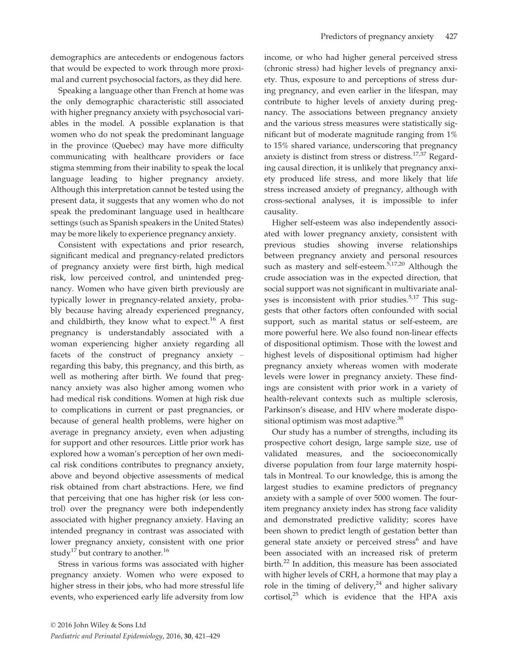demographics are antecedents or endogenous factors that would be expected to work through more proximal and current psychosocial factors, as they did here.

Speaking a language other than French at home was the only demographic characteristic still associated with higher pregnancy anxiety with psychosocial variables in the model. A possible explanation is that women who do not speak the predominant language in the province (Quebec) may have more difficulty communicating with healthcare providers or face stigma stemming from their inability to speak the local language leading to higher pregnancy anxiety. Although this interpretation cannot be tested using the present data, it suggests that any women who do not speak the predominant language used in healthcare settings (such as Spanish speakers in the United States) may be more likely to experience pregnancy anxiety.

Consistent with expectations and prior research, significant medical and pregnancy-related predictors of pregnancy anxiety were first birth, high medical risk, low perceived control, and unintended pregnancy. Women who have given birth previously are typically lower in pregnancy-related anxiety, probably because having already experienced pregnancy, and childbirth, they know what to expect.<sup>16</sup> A first pregnancy is understandably associated with a woman experiencing higher anxiety regarding all facets of the construct of pregnancy anxiety – regarding this baby, this pregnancy, and this birth, as well as mothering after birth. We found that pregnancy anxiety was also higher among women who had medical risk conditions. Women at high risk due to complications in current or past pregnancies, or because of general health problems, were higher on average in pregnancy anxiety, even when adjusting for support and other resources. Little prior work has explored how a woman's perception of her own medical risk conditions contributes to pregnancy anxiety, above and beyond objective assessments of medical risk obtained from chart abstractions. Here, we find that perceiving that one has higher risk (or less control) over the pregnancy were both independently associated with higher pregnancy anxiety. Having an intended pregnancy in contrast was associated with lower pregnancy anxiety, consistent with one prior study<sup>17</sup> but contrary to another.<sup>16</sup>

Stress in various forms was associated with higher pregnancy anxiety. Women who were exposed to higher stress in their jobs, who had more stressful life events, who experienced early life adversity from low income, or who had higher general perceived stress (chronic stress) had higher levels of pregnancy anxiety. Thus, exposure to and perceptions of stress during pregnancy, and even earlier in the lifespan, may contribute to higher levels of anxiety during pregnancy. The associations between pregnancy anxiety and the various stress measures were statistically significant but of moderate magnitude ranging from 1% to 15% shared variance, underscoring that pregnancy anxiety is distinct from stress or distress.<sup>17,37</sup> Regarding causal direction, it is unlikely that pregnancy anxiety produced life stress, and more likely that life stress increased anxiety of pregnancy, although with cross-sectional analyses, it is impossible to infer causality.

Higher self-esteem was also independently associated with lower pregnancy anxiety, consistent with previous studies showing inverse relationships between pregnancy anxiety and personal resources such as mastery and self-esteem.<sup>5,17,20</sup> Although the crude association was in the expected direction, that social support was not significant in multivariate analyses is inconsistent with prior studies.<sup>5,17</sup> This suggests that other factors often confounded with social support, such as marital status or self-esteem, are more powerful here. We also found non-linear effects of dispositional optimism. Those with the lowest and highest levels of dispositional optimism had higher pregnancy anxiety whereas women with moderate levels were lower in pregnancy anxiety. These findings are consistent with prior work in a variety of health-relevant contexts such as multiple sclerosis, Parkinson's disease, and HIV where moderate dispositional optimism was most adaptive.<sup>38</sup>

Our study has a number of strengths, including its prospective cohort design, large sample size, use of validated measures, and the socioeconomically diverse population from four large maternity hospitals in Montreal. To our knowledge, this is among the largest studies to examine predictors of pregnancy anxiety with a sample of over 5000 women. The fouritem pregnancy anxiety index has strong face validity and demonstrated predictive validity; scores have been shown to predict length of gestation better than general state anxiety or perceived stress<sup>6</sup> and have been associated with an increased risk of preterm birth.<sup>22</sup> In addition, this measure has been associated with higher levels of CRH, a hormone that may play a role in the timing of delivery, $24$  and higher salivary cortisol, $25$  which is evidence that the HPA axis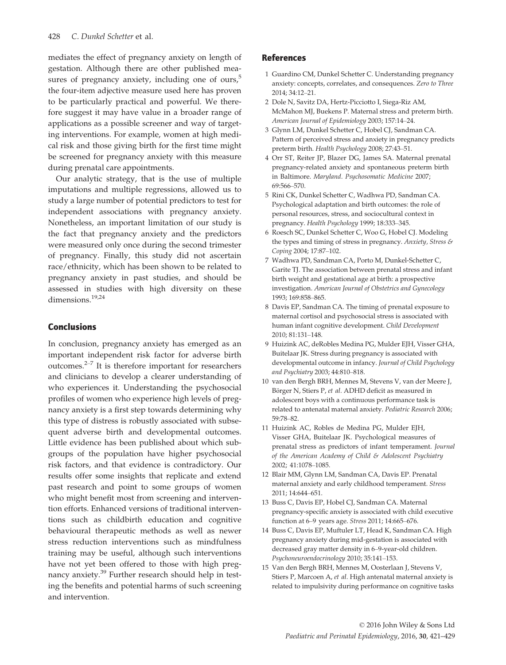mediates the effect of pregnancy anxiety on length of gestation. Although there are other published measures of pregnancy anxiety, including one of ours, $5$ the four-item adjective measure used here has proven to be particularly practical and powerful. We therefore suggest it may have value in a broader range of applications as a possible screener and way of targeting interventions. For example, women at high medical risk and those giving birth for the first time might be screened for pregnancy anxiety with this measure during prenatal care appointments.

Our analytic strategy, that is the use of multiple imputations and multiple regressions, allowed us to study a large number of potential predictors to test for independent associations with pregnancy anxiety. Nonetheless, an important limitation of our study is the fact that pregnancy anxiety and the predictors were measured only once during the second trimester of pregnancy. Finally, this study did not ascertain race/ethnicity, which has been shown to be related to pregnancy anxiety in past studies, and should be assessed in studies with high diversity on these dimensions.<sup>19,24</sup>

#### Conclusions

In conclusion, pregnancy anxiety has emerged as an important independent risk factor for adverse birth outcomes. $2-7$  It is therefore important for researchers and clinicians to develop a clearer understanding of who experiences it. Understanding the psychosocial profiles of women who experience high levels of pregnancy anxiety is a first step towards determining why this type of distress is robustly associated with subsequent adverse birth and developmental outcomes. Little evidence has been published about which subgroups of the population have higher psychosocial risk factors, and that evidence is contradictory. Our results offer some insights that replicate and extend past research and point to some groups of women who might benefit most from screening and intervention efforts. Enhanced versions of traditional interventions such as childbirth education and cognitive behavioural therapeutic methods as well as newer stress reduction interventions such as mindfulness training may be useful, although such interventions have not yet been offered to those with high pregnancy anxiety.<sup>39</sup> Further research should help in testing the benefits and potential harms of such screening and intervention.

#### References

- 1 Guardino CM, Dunkel Schetter C. Understanding pregnancy anxiety: concepts, correlates, and consequences. Zero to Three 2014; 34:12–21.
- 2 Dole N, Savitz DA, Hertz-Picciotto I, Siega-Riz AM, McMahon MJ, Buekens P. Maternal stress and preterm birth. American Journal of Epidemiology 2003; 157:14–24.
- 3 Glynn LM, Dunkel Schetter C, Hobel CJ, Sandman CA. Pattern of perceived stress and anxiety in pregnancy predicts preterm birth. Health Psychology 2008; 27:43–51.
- 4 Orr ST, Reiter JP, Blazer DG, James SA. Maternal prenatal pregnancy-related anxiety and spontaneous preterm birth in Baltimore. Maryland. Psychosomatic Medicine 2007; 69:566–570.
- 5 Rini CK, Dunkel Schetter C, Wadhwa PD, Sandman CA. Psychological adaptation and birth outcomes: the role of personal resources, stress, and sociocultural context in pregnancy. Health Psychology 1999; 18:333–345.
- 6 Roesch SC, Dunkel Schetter C, Woo G, Hobel CJ. Modeling the types and timing of stress in pregnancy. Anxiety, Stress & Coping 2004; 17:87–102.
- 7 Wadhwa PD, Sandman CA, Porto M, Dunkel-Schetter C, Garite TJ. The association between prenatal stress and infant birth weight and gestational age at birth: a prospective investigation. American Journal of Obstetrics and Gynecology 1993; 169:858–865.
- 8 Davis EP, Sandman CA. The timing of prenatal exposure to maternal cortisol and psychosocial stress is associated with human infant cognitive development. Child Development 2010; 81:131–148.
- 9 Huizink AC, deRobles Medina PG, Mulder EJH, Visser GHA, Buitelaar JK. Stress during pregnancy is associated with developmental outcome in infancy. Journal of Child Psychology and Psychiatry 2003; 44:810–818.
- 10 van den Bergh BRH, Mennes M, Stevens V, van der Meere J, Börger N, Stiers P, et al. ADHD deficit as measured in adolescent boys with a continuous performance task is related to antenatal maternal anxiety. Pediatric Research 2006; 59:78–82.
- 11 Huizink AC, Robles de Medina PG, Mulder EJH, Visser GHA, Buitelaar JK. Psychological measures of prenatal stress as predictors of infant temperament. Journal of the American Academy of Child & Adolescent Psychiatry 2002; 41:1078–1085.
- 12 Blair MM, Glynn LM, Sandman CA, Davis EP. Prenatal maternal anxiety and early childhood temperament. Stress 2011; 14:644–651.
- 13 Buss C, Davis EP, Hobel CJ, Sandman CA. Maternal pregnancy-specific anxiety is associated with child executive function at 6–9 years age. Stress 2011; 14:665–676.
- 14 Buss C, Davis EP, Muftuler LT, Head K, Sandman CA. High pregnancy anxiety during mid-gestation is associated with decreased gray matter density in 6–9-year-old children. Psychoneuroendocrinology 2010; 35:141–153.
- 15 Van den Bergh BRH, Mennes M, Oosterlaan J, Stevens V, Stiers P, Marcoen A, et al. High antenatal maternal anxiety is related to impulsivity during performance on cognitive tasks